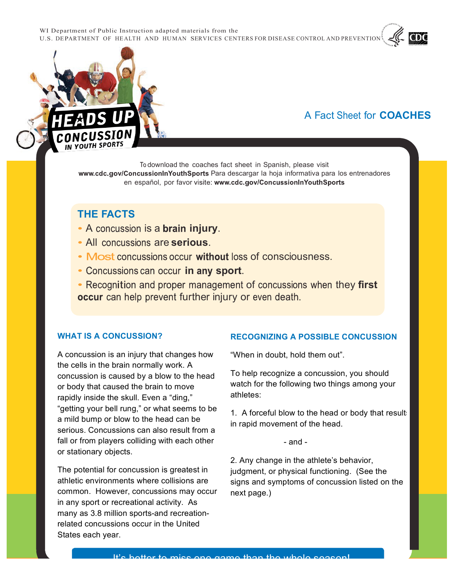WI Department of Public Instruction adapted materials from the U.S. DEPARTMENT OF HEALTH AND HUMAN SERVICES CENTERS FOR DISEASE CONTROL AND PREVENTION

# A Fact Sheet for **COACHES**

To download the coaches fact sheet in Spanish, please visit www.cdc.gov/ConcussionInYouthSports Para descargar la hoja informativa para los entrenadores en español, por favor visite: www.cdc.gov/ConcussionInYouthSports

### **THE FACTS**

OUTH SPORTS

- A concussion is a **brain injury**.
- All concussions are **serious**.
- Most concussions occur without loss of consciousness.
- **Concussions can occur in any sport.**
- Recognition and proper management of concussions when they first occur can help prevent further injury or even death.

#### **WHAT IS A CONCUSSION?**

A concussion is an injury that changes how the cells in the brain normally work. A concussion is caused by a blow to the head or body that caused the brain to move rapidly inside the skull. Even a "ding," "getting your bell rung," or what seems to be a mild bump or blow to the head can be serious. Concussions can also result from a fall or from players colliding with each other or stationary objects.

The potential for concussion is greatest in athletic environments where collisions are common. However, concussions may occur in any sport or recreational activity. As many as 3.8 million sports-and recreationrelated concussions occur in the United States each year.

#### **IS A SONSSECTION:**<br> **INLOCENTERE A POSSIBLE CONCO RECOGNIZING A POSSIBLE CONCUSSION**

"When in doubt, hold them out".

To help recognize a concussion, you should watch for the following two things among your athletes:

1. A forceful blow to the head or body that results in rapid movement of the head.

- and -

2. Any change in the athlete's behavior, judgment, or physical functioning. (See the signs and symptoms of concussion listed on the next page.)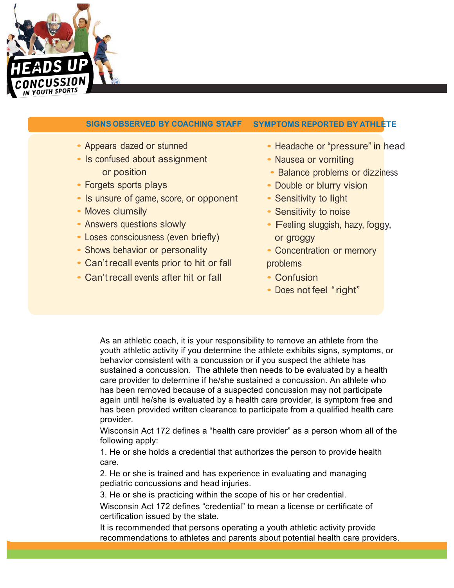

## **SIGNS OBSERVED BY COACHING STAFF SYMPTOMS REPORTED BY ATHLETE**

- 
- Is confused about assignment Nausea or vomiting
- 
- Is unsure of game, score, or opponent Sensitivity to light
- 
- 
- Loses consciousness (even briefly) or groggy
- Shows behavior or personality Concentration or memory
- Can't recall events prior to hit or fall problems
- Can't recall events after hit or fall Confusion
- Appears dazed or stunned Headache or "pressure" in head
	-
	- or position  **Balance problems or dizziness**
- Forgets sports plays  **Double or blurry vision** 
	-
- Moves clumsily  **Sensitivity to noise**
- Answers questions slowly  **Feeling sluggish, hazy, foggy,** 
	-
	-
	- Does not feel "right"

As an athletic coach, it is your responsibility to remove an athlete from the youth athletic activity if you determine the athlete exhibits signs, symptoms, or behavior consistent with a concussion or if you suspect the athlete has sustained a concussion. The athlete then needs to be evaluated by a health care provider to determine if he/she sustained a concussion. An athlete who has been removed because of a suspected concussion may not participate again until he/she is evaluated by a health care provider, is symptom free and has been provided written clearance to participate from a qualified health care provider.

Wisconsin Act 172 defines a "health care provider" as a person whom all of the following apply:

1. He or she holds a credential that authorizes the person to provide health care.

2. He or she is trained and has experience in evaluating and managing pediatric concussions and head injuries.

3. He or she is practicing within the scope of his or her credential.

Wisconsin Act 172 defines "credential" to mean a license or certificate of certification issued by the state.

It is recommended that persons operating a youth athletic activity provide recommendations to athletes and parents about potential health care providers.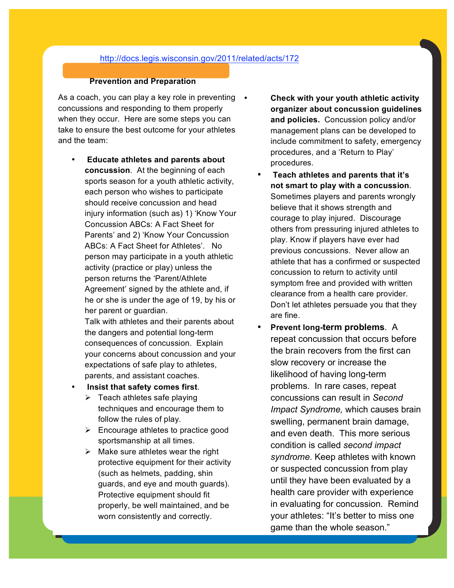#### http://docs.legis.wisconsin.gov/2011/related/acts/172

#### **Prevention and Preparation**

As a coach, you can play a key role in preventing • concussions and responding to them properly when they occur. Here are some steps you can take to ensure the best outcome for your athletes and the team:

• **Educate athletes and parents about concussion**. At the beginning of each sports season for a youth athletic activity, each person who wishes to participate should receive concussion and head injury information (such as) 1) 'Know Your Concussion ABCs: A Fact Sheet for Parents' and 2) 'Know Your Concussion ABCs: A Fact Sheet for Athletes'. No person may participate in a youth athletic activity (practice or play) unless the person returns the 'Parent/Athlete Agreement' signed by the athlete and, if he or she is under the age of 19, by his or her parent or guardian.

Talk with athletes and their parents about the dangers and potential long-term consequences of concussion. Explain your concerns about concussion and your expectations of safe play to athletes, parents, and assistant coaches.

- **Insist that safety comes first**.
	- $\triangleright$  Teach athletes safe playing techniques and encourage them to follow the rules of play.
	- $\triangleright$  Encourage athletes to practice good sportsmanship at all times.
	- $\triangleright$  Make sure athletes wear the right protective equipment for their activity (such as helmets, padding, shin guards, and eye and mouth guards). Protective equipment should fit properly, be well maintained, and be worn consistently and correctly.

• **Check with your youth athletic activity organizer about concussion guidelines and policies.** Concussion policy and/or management plans can be developed to include commitment to safety, emergency procedures, and a 'Return to Play' procedures.

- **Teach athletes and parents that it's not smart to play with a concussion**. Sometimes players and parents wrongly believe that it shows strength and courage to play injured. Discourage others from pressuring injured athletes to play. Know if players have ever had previous concussions. Never allow an athlete that has a confirmed or suspected concussion to return to activity until symptom free and provided with written clearance from a health care provider. Don't let athletes persuade you that they are fine.
- **Prevent long-term problems**. A repeat concussion that occurs before the brain recovers from the first can slow recovery or increase the likelihood of having long-term problems. In rare cases, repeat concussions can result in *Second Impact Syndrome,* which causes brain swelling, permanent brain damage, and even death. This more serious condition is called *second impact syndrome*. Keep athletes with known or suspected concussion from play until they have been evaluated by a health care provider with experience in evaluating for concussion. Remind your athletes: "It's better to miss one game than the whole season."